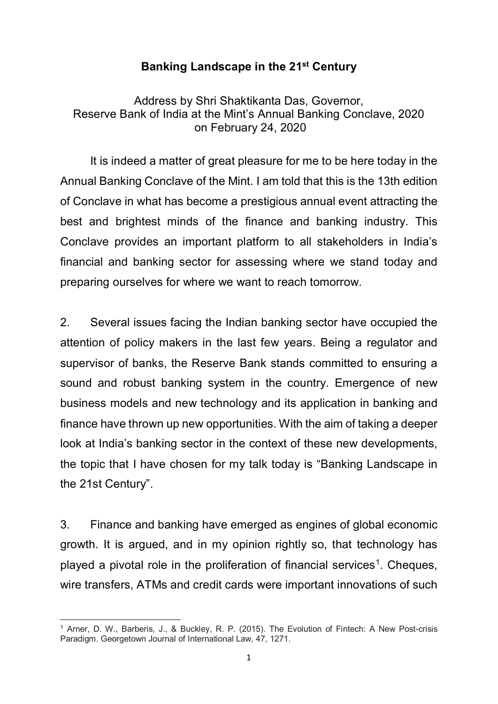### **Banking Landscape in the 21st Century**

Address by Shri Shaktikanta Das, Governor, Reserve Bank of India at the Mint's Annual Banking Conclave, 2020 on February 24, 2020

It is indeed a matter of great pleasure for me to be here today in the Annual Banking Conclave of the Mint. I am told that this is the 13th edition of Conclave in what has become a prestigious annual event attracting the best and brightest minds of the finance and banking industry. This Conclave provides an important platform to all stakeholders in India's financial and banking sector for assessing where we stand today and preparing ourselves for where we want to reach tomorrow.

2. Several issues facing the Indian banking sector have occupied the attention of policy makers in the last few years. Being a regulator and supervisor of banks, the Reserve Bank stands committed to ensuring a sound and robust banking system in the country. Emergence of new business models and new technology and its application in banking and finance have thrown up new opportunities. With the aim of taking a deeper look at India's banking sector in the context of these new developments, the topic that I have chosen for my talk today is "Banking Landscape in the 21st Century".

3. Finance and banking have emerged as engines of global economic growth. It is argued, and in my opinion rightly so, that technology has played a pivotal role in the proliferation of financial services<sup>[1](#page-0-0)</sup>. Cheques, wire transfers, ATMs and credit cards were important innovations of such

<span id="page-0-0"></span>**<sup>.</sup>** <sup>1</sup> Arner, D. W., Barberis, J., & Buckley, R. P. (2015). The Evolution of Fintech: A New Post-crisis Paradigm. Georgetown Journal of International Law, 47, 1271.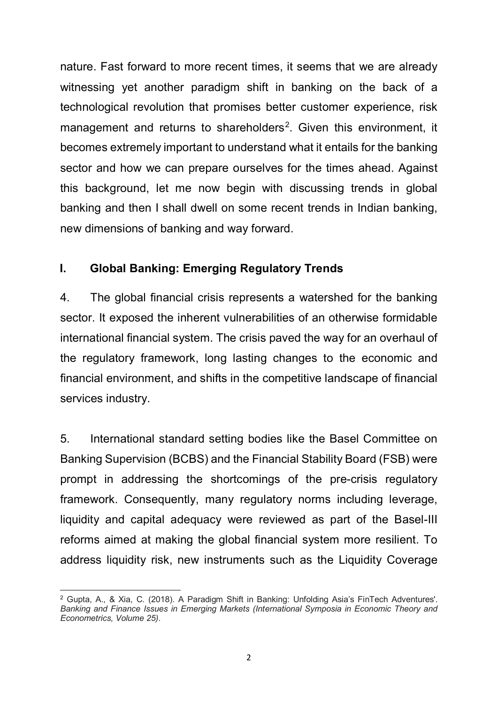nature. Fast forward to more recent times, it seems that we are already witnessing yet another paradigm shift in banking on the back of a technological revolution that promises better customer experience, risk management and returns to shareholders<sup>[2](#page-1-0)</sup>. Given this environment, it becomes extremely important to understand what it entails for the banking sector and how we can prepare ourselves for the times ahead. Against this background, let me now begin with discussing trends in global banking and then I shall dwell on some recent trends in Indian banking, new dimensions of banking and way forward.

## **I. Global Banking: Emerging Regulatory Trends**

4. The global financial crisis represents a watershed for the banking sector. It exposed the inherent vulnerabilities of an otherwise formidable international financial system. The crisis paved the way for an overhaul of the regulatory framework, long lasting changes to the economic and financial environment, and shifts in the competitive landscape of financial services industry.

5. International standard setting bodies like the Basel Committee on Banking Supervision (BCBS) and the Financial Stability Board (FSB) were prompt in addressing the shortcomings of the pre-crisis regulatory framework. Consequently, many regulatory norms including leverage, liquidity and capital adequacy were reviewed as part of the Basel-III reforms aimed at making the global financial system more resilient. To address liquidity risk, new instruments such as the Liquidity Coverage

<span id="page-1-0"></span> $\overline{a}$ <sup>2</sup> Gupta, A., & Xia, C. (2018). A Paradigm Shift in Banking: Unfolding Asia's FinTech Adventures'. *Banking and Finance Issues in Emerging Markets (International Symposia in Economic Theory and Econometrics, Volume 25)*.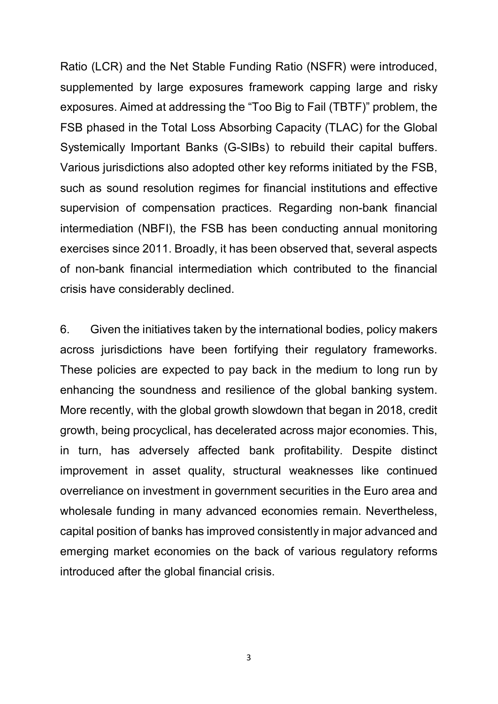Ratio (LCR) and the Net Stable Funding Ratio (NSFR) were introduced, supplemented by large exposures framework capping large and risky exposures. Aimed at addressing the "Too Big to Fail (TBTF)" problem, the FSB phased in the Total Loss Absorbing Capacity (TLAC) for the Global Systemically Important Banks (G-SIBs) to rebuild their capital buffers. Various jurisdictions also adopted other key reforms initiated by the FSB, such as sound resolution regimes for financial institutions and effective supervision of compensation practices. Regarding non-bank financial intermediation (NBFI), the FSB has been conducting annual monitoring exercises since 2011. Broadly, it has been observed that, several aspects of non-bank financial intermediation which contributed to the financial crisis have considerably declined.

6. Given the initiatives taken by the international bodies, policy makers across jurisdictions have been fortifying their regulatory frameworks. These policies are expected to pay back in the medium to long run by enhancing the soundness and resilience of the global banking system. More recently, with the global growth slowdown that began in 2018, credit growth, being procyclical, has decelerated across major economies. This, in turn, has adversely affected bank profitability. Despite distinct improvement in asset quality, structural weaknesses like continued overreliance on investment in government securities in the Euro area and wholesale funding in many advanced economies remain. Nevertheless, capital position of banks has improved consistently in major advanced and emerging market economies on the back of various regulatory reforms introduced after the global financial crisis.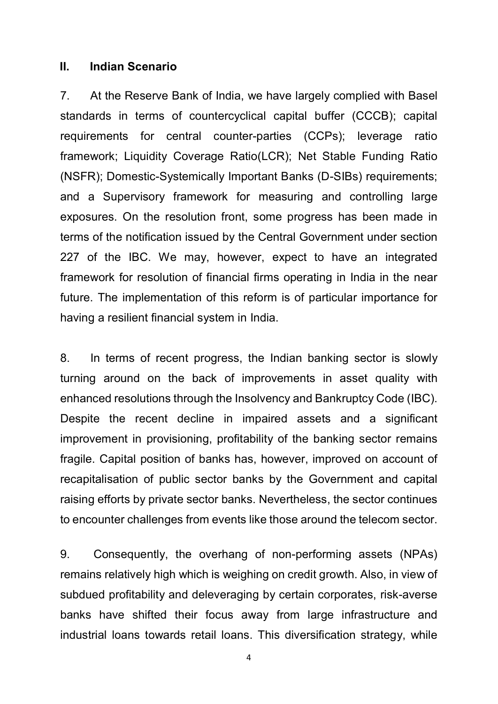#### **II. Indian Scenario**

7. At the Reserve Bank of India, we have largely complied with Basel standards in terms of countercyclical capital buffer (CCCB); capital requirements for central counter-parties (CCPs); leverage ratio framework; Liquidity Coverage Ratio(LCR); Net Stable Funding Ratio (NSFR); Domestic-Systemically Important Banks (D-SIBs) requirements; and a Supervisory framework for measuring and controlling large exposures. On the resolution front, some progress has been made in terms of the notification issued by the Central Government under section 227 of the IBC. We may, however, expect to have an integrated framework for resolution of financial firms operating in India in the near future. The implementation of this reform is of particular importance for having a resilient financial system in India.

8. In terms of recent progress, the Indian banking sector is slowly turning around on the back of improvements in asset quality with enhanced resolutions through the Insolvency and Bankruptcy Code (IBC). Despite the recent decline in impaired assets and a significant improvement in provisioning, profitability of the banking sector remains fragile. Capital position of banks has, however, improved on account of recapitalisation of public sector banks by the Government and capital raising efforts by private sector banks. Nevertheless, the sector continues to encounter challenges from events like those around the telecom sector.

9. Consequently, the overhang of non-performing assets (NPAs) remains relatively high which is weighing on credit growth. Also, in view of subdued profitability and deleveraging by certain corporates, risk-averse banks have shifted their focus away from large infrastructure and industrial loans towards retail loans. This diversification strategy, while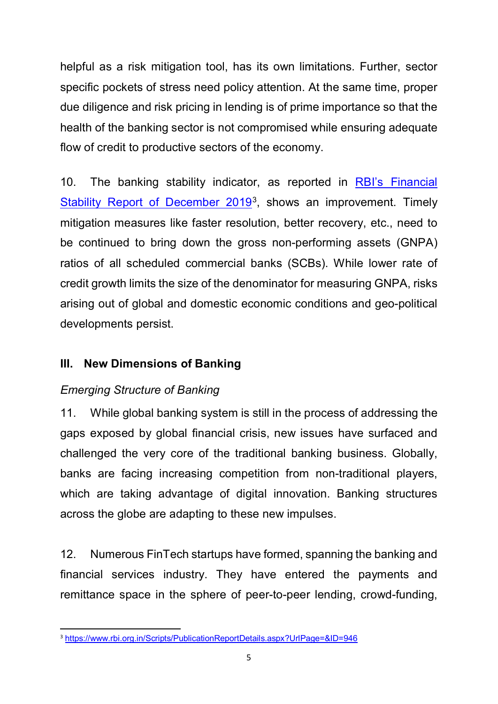helpful as a risk mitigation tool, has its own limitations. Further, sector specific pockets of stress need policy attention. At the same time, proper due diligence and risk pricing in lending is of prime importance so that the health of the banking sector is not compromised while ensuring adequate flow of credit to productive sectors of the economy.

10. The banking stability indicator, as reported in [RBI's Financial](https://www.rbi.org.in/Scripts/PublicationReportDetails.aspx?UrlPage=&ID=946)  [Stability Report of December 2019](https://www.rbi.org.in/Scripts/PublicationReportDetails.aspx?UrlPage=&ID=946)<sup>3</sup>, shows an improvement. Timely mitigation measures like faster resolution, better recovery, etc., need to be continued to bring down the gross non-performing assets (GNPA) ratios of all scheduled commercial banks (SCBs). While lower rate of credit growth limits the size of the denominator for measuring GNPA, risks arising out of global and domestic economic conditions and geo-political developments persist.

# **III. New Dimensions of Banking**

# *Emerging Structure of Banking*

11. While global banking system is still in the process of addressing the gaps exposed by global financial crisis, new issues have surfaced and challenged the very core of the traditional banking business. Globally, banks are facing increasing competition from non-traditional players, which are taking advantage of digital innovation. Banking structures across the globe are adapting to these new impulses.

12. Numerous FinTech startups have formed, spanning the banking and financial services industry. They have entered the payments and remittance space in the sphere of peer-to-peer lending, crowd-funding,

<span id="page-4-0"></span> <sup>3</sup> <https://www.rbi.org.in/Scripts/PublicationReportDetails.aspx?UrlPage=&ID=946>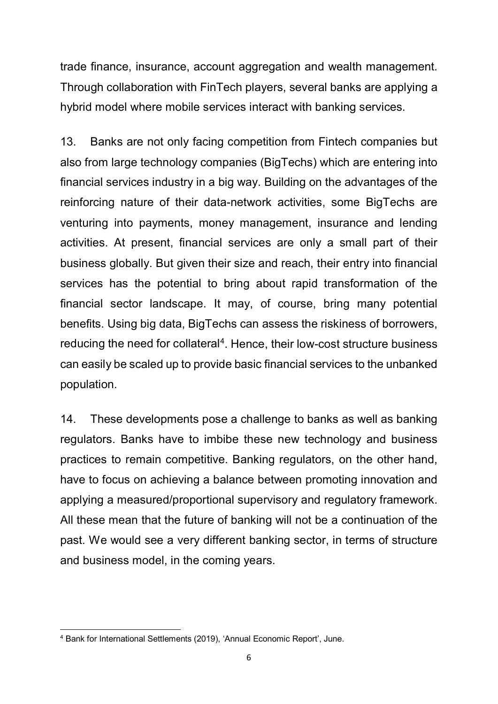trade finance, insurance, account aggregation and wealth management. Through collaboration with FinTech players, several banks are applying a hybrid model where mobile services interact with banking services.

13. Banks are not only facing competition from Fintech companies but also from large technology companies (BigTechs) which are entering into financial services industry in a big way. Building on the advantages of the reinforcing nature of their data-network activities, some BigTechs are venturing into payments, money management, insurance and lending activities. At present, financial services are only a small part of their business globally. But given their size and reach, their entry into financial services has the potential to bring about rapid transformation of the financial sector landscape. It may, of course, bring many potential benefits. Using big data, BigTechs can assess the riskiness of borrowers, reducing the need for collateral<sup>4</sup>. Hence, their low-cost structure business can easily be scaled up to provide basic financial services to the unbanked population.

14. These developments pose a challenge to banks as well as banking regulators. Banks have to imbibe these new technology and business practices to remain competitive. Banking regulators, on the other hand, have to focus on achieving a balance between promoting innovation and applying a measured/proportional supervisory and regulatory framework. All these mean that the future of banking will not be a continuation of the past. We would see a very different banking sector, in terms of structure and business model, in the coming years.

**.** 

<span id="page-5-0"></span><sup>&</sup>lt;sup>4</sup> Bank for International Settlements (2019), 'Annual Economic Report', June.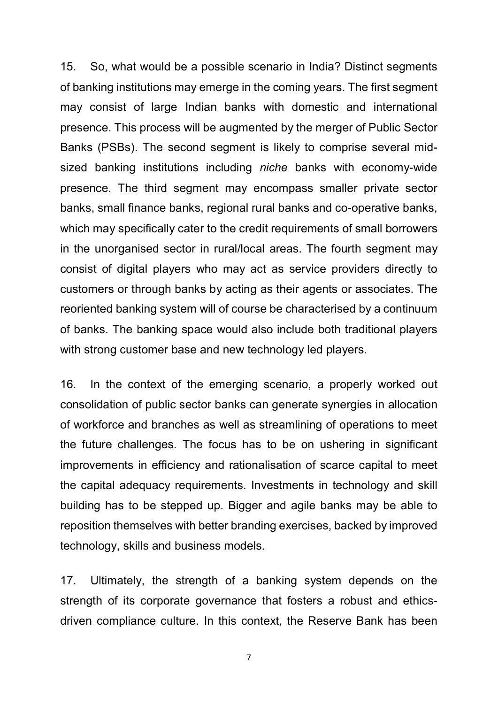15. So, what would be a possible scenario in India? Distinct segments of banking institutions may emerge in the coming years. The first segment may consist of large Indian banks with domestic and international presence. This process will be augmented by the merger of Public Sector Banks (PSBs). The second segment is likely to comprise several midsized banking institutions including *niche* banks with economy-wide presence. The third segment may encompass smaller private sector banks, small finance banks, regional rural banks and co-operative banks, which may specifically cater to the credit requirements of small borrowers in the unorganised sector in rural/local areas. The fourth segment may consist of digital players who may act as service providers directly to customers or through banks by acting as their agents or associates. The reoriented banking system will of course be characterised by a continuum of banks. The banking space would also include both traditional players with strong customer base and new technology led players.

16. In the context of the emerging scenario, a properly worked out consolidation of public sector banks can generate synergies in allocation of workforce and branches as well as streamlining of operations to meet the future challenges. The focus has to be on ushering in significant improvements in efficiency and rationalisation of scarce capital to meet the capital adequacy requirements. Investments in technology and skill building has to be stepped up. Bigger and agile banks may be able to reposition themselves with better branding exercises, backed by improved technology, skills and business models.

17. Ultimately, the strength of a banking system depends on the strength of its corporate governance that fosters a robust and ethicsdriven compliance culture. In this context, the Reserve Bank has been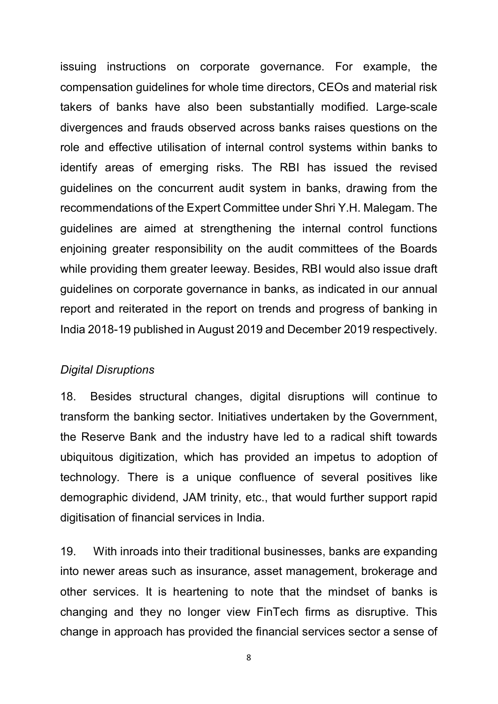issuing instructions on corporate governance. For example, the compensation guidelines for whole time directors, CEOs and material risk takers of banks have also been substantially modified. Large-scale divergences and frauds observed across banks raises questions on the role and effective utilisation of internal control systems within banks to identify areas of emerging risks. The RBI has issued the revised guidelines on the concurrent audit system in banks, drawing from the recommendations of the Expert Committee under Shri Y.H. Malegam. The guidelines are aimed at strengthening the internal control functions enjoining greater responsibility on the audit committees of the Boards while providing them greater leeway. Besides, RBI would also issue draft guidelines on corporate governance in banks, as indicated in our annual report and reiterated in the report on trends and progress of banking in India 2018-19 published in August 2019 and December 2019 respectively.

#### *Digital Disruptions*

18. Besides structural changes, digital disruptions will continue to transform the banking sector. Initiatives undertaken by the Government, the Reserve Bank and the industry have led to a radical shift towards ubiquitous digitization, which has provided an impetus to adoption of technology. There is a unique confluence of several positives like demographic dividend, JAM trinity, etc., that would further support rapid digitisation of financial services in India.

19. With inroads into their traditional businesses, banks are expanding into newer areas such as insurance, asset management, brokerage and other services. It is heartening to note that the mindset of banks is changing and they no longer view FinTech firms as disruptive. This change in approach has provided the financial services sector a sense of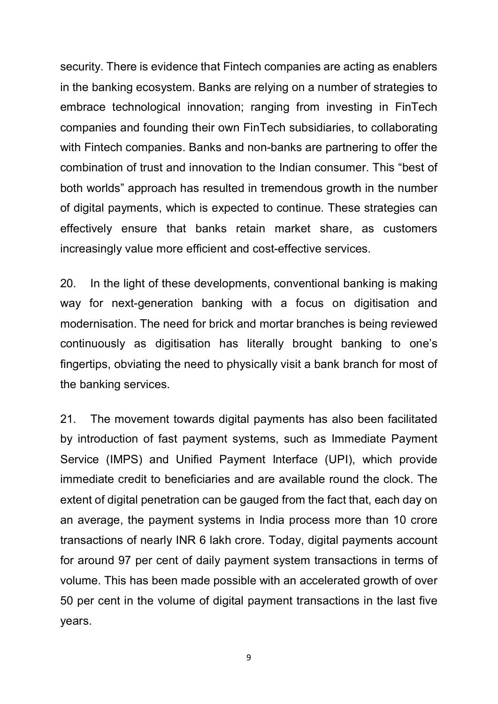security. There is evidence that Fintech companies are acting as enablers in the banking ecosystem. Banks are relying on a number of strategies to embrace technological innovation; ranging from investing in FinTech companies and founding their own FinTech subsidiaries, to collaborating with Fintech companies. Banks and non-banks are partnering to offer the combination of trust and innovation to the Indian consumer. This "best of both worlds" approach has resulted in tremendous growth in the number of digital payments, which is expected to continue. These strategies can effectively ensure that banks retain market share, as customers increasingly value more efficient and cost-effective services.

20. In the light of these developments, conventional banking is making way for next-generation banking with a focus on digitisation and modernisation. The need for brick and mortar branches is being reviewed continuously as digitisation has literally brought banking to one's fingertips, obviating the need to physically visit a bank branch for most of the banking services.

21. The movement towards digital payments has also been facilitated by introduction of fast payment systems, such as Immediate Payment Service (IMPS) and Unified Payment Interface (UPI), which provide immediate credit to beneficiaries and are available round the clock. The extent of digital penetration can be gauged from the fact that, each day on an average, the payment systems in India process more than 10 crore transactions of nearly INR 6 lakh crore. Today, digital payments account for around 97 per cent of daily payment system transactions in terms of volume. This has been made possible with an accelerated growth of over 50 per cent in the volume of digital payment transactions in the last five years.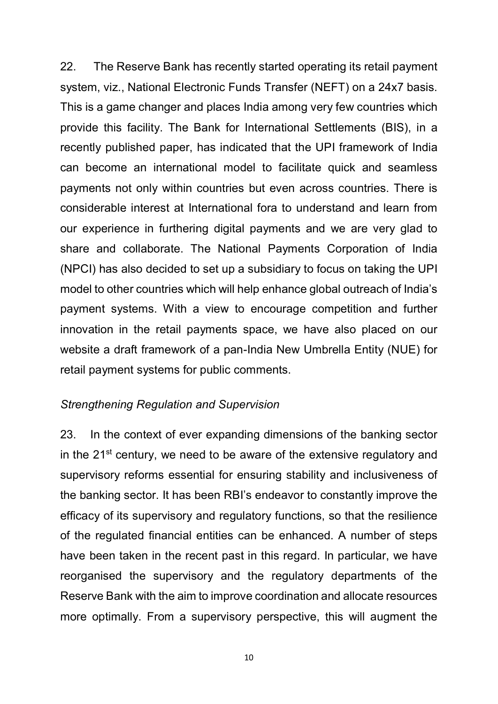22. The Reserve Bank has recently started operating its retail payment system, viz., National Electronic Funds Transfer (NEFT) on a 24x7 basis. This is a game changer and places India among very few countries which provide this facility. The Bank for International Settlements (BIS), in a recently published paper, has indicated that the UPI framework of India can become an international model to facilitate quick and seamless payments not only within countries but even across countries. There is considerable interest at International fora to understand and learn from our experience in furthering digital payments and we are very glad to share and collaborate. The National Payments Corporation of India (NPCI) has also decided to set up a subsidiary to focus on taking the UPI model to other countries which will help enhance global outreach of India's payment systems. With a view to encourage competition and further innovation in the retail payments space, we have also placed on our website a draft framework of a pan-India New Umbrella Entity (NUE) for retail payment systems for public comments.

#### *Strengthening Regulation and Supervision*

23. In the context of ever expanding dimensions of the banking sector in the 21st century, we need to be aware of the extensive regulatory and supervisory reforms essential for ensuring stability and inclusiveness of the banking sector. It has been RBI's endeavor to constantly improve the efficacy of its supervisory and regulatory functions, so that the resilience of the regulated financial entities can be enhanced. A number of steps have been taken in the recent past in this regard. In particular, we have reorganised the supervisory and the regulatory departments of the Reserve Bank with the aim to improve coordination and allocate resources more optimally. From a supervisory perspective, this will augment the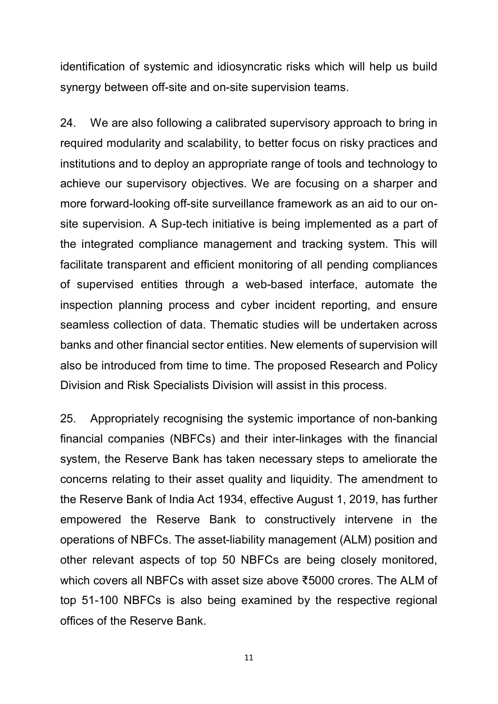identification of systemic and idiosyncratic risks which will help us build synergy between off-site and on-site supervision teams.

24. We are also following a calibrated supervisory approach to bring in required modularity and scalability, to better focus on risky practices and institutions and to deploy an appropriate range of tools and technology to achieve our supervisory objectives. We are focusing on a sharper and more forward-looking off-site surveillance framework as an aid to our onsite supervision. A Sup-tech initiative is being implemented as a part of the integrated compliance management and tracking system. This will facilitate transparent and efficient monitoring of all pending compliances of supervised entities through a web-based interface, automate the inspection planning process and cyber incident reporting, and ensure seamless collection of data. Thematic studies will be undertaken across banks and other financial sector entities. New elements of supervision will also be introduced from time to time. The proposed Research and Policy Division and Risk Specialists Division will assist in this process.

25. Appropriately recognising the systemic importance of non-banking financial companies (NBFCs) and their inter-linkages with the financial system, the Reserve Bank has taken necessary steps to ameliorate the concerns relating to their asset quality and liquidity. The amendment to the Reserve Bank of India Act 1934, effective August 1, 2019, has further empowered the Reserve Bank to constructively intervene in the operations of NBFCs. The asset-liability management (ALM) position and other relevant aspects of top 50 NBFCs are being closely monitored, which covers all NBFCs with asset size above ₹5000 crores. The ALM of top 51-100 NBFCs is also being examined by the respective regional offices of the Reserve Bank.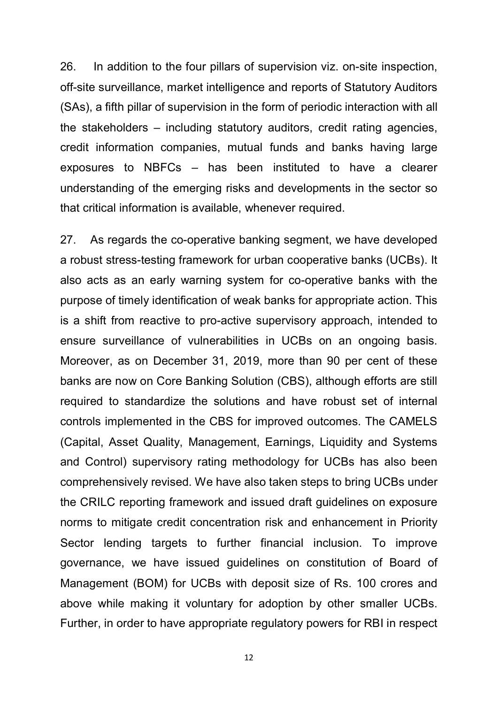26. In addition to the four pillars of supervision viz. on-site inspection, off-site surveillance, market intelligence and reports of Statutory Auditors (SAs), a fifth pillar of supervision in the form of periodic interaction with all the stakeholders – including statutory auditors, credit rating agencies, credit information companies, mutual funds and banks having large exposures to NBFCs – has been instituted to have a clearer understanding of the emerging risks and developments in the sector so that critical information is available, whenever required.

27. As regards the co-operative banking segment, we have developed a robust stress-testing framework for urban cooperative banks (UCBs). It also acts as an early warning system for co-operative banks with the purpose of timely identification of weak banks for appropriate action. This is a shift from reactive to pro-active supervisory approach, intended to ensure surveillance of vulnerabilities in UCBs on an ongoing basis. Moreover, as on December 31, 2019, more than 90 per cent of these banks are now on Core Banking Solution (CBS), although efforts are still required to standardize the solutions and have robust set of internal controls implemented in the CBS for improved outcomes. The CAMELS (Capital, Asset Quality, Management, Earnings, Liquidity and Systems and Control) supervisory rating methodology for UCBs has also been comprehensively revised. We have also taken steps to bring UCBs under the CRILC reporting framework and issued draft guidelines on exposure norms to mitigate credit concentration risk and enhancement in Priority Sector lending targets to further financial inclusion. To improve governance, we have issued guidelines on constitution of Board of Management (BOM) for UCBs with deposit size of Rs. 100 crores and above while making it voluntary for adoption by other smaller UCBs. Further, in order to have appropriate regulatory powers for RBI in respect